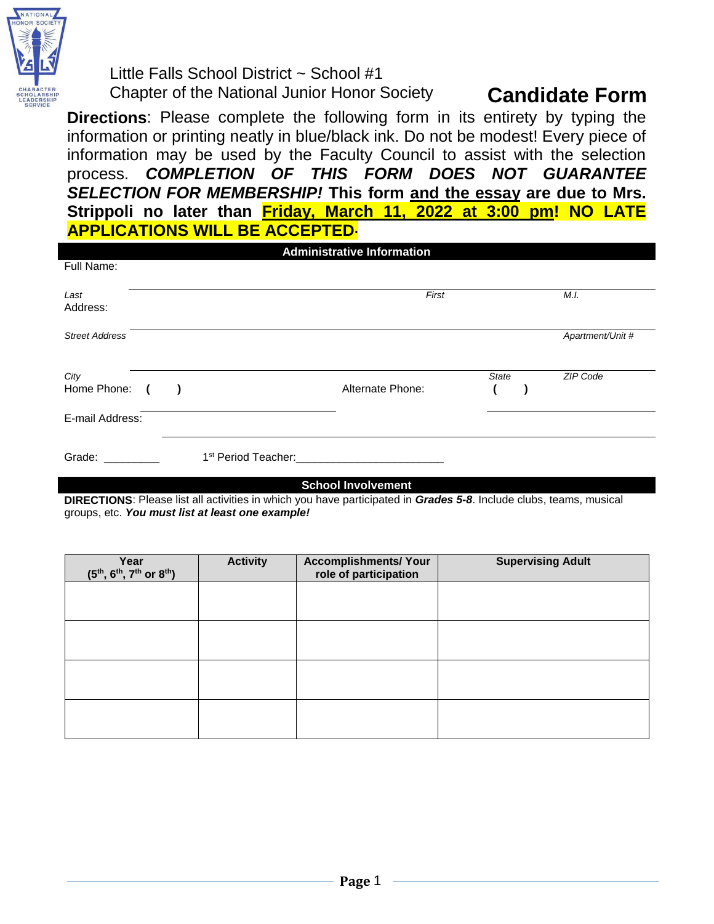

Little Falls School District ~ School #1 Chapter of the National Junior Honor Society **Candidate Form**

**Directions**: Please complete the following form in its entirety by typing the information or printing neatly in blue/black ink. Do not be modest! Every piece of information may be used by the Faculty Council to assist with the selection process. *COMPLETION OF THIS FORM DOES NOT GUARANTEE SELECTION FOR MEMBERSHIP!* **This form and the essay are due to Mrs. Strippoli no later than Friday, March 11, 2022 at 3:00 pm! NO LATE APPLICATIONS WILL BE ACCEPTED.**

|                       |            |                                 | <b>Administrative Information</b> |              |                  |
|-----------------------|------------|---------------------------------|-----------------------------------|--------------|------------------|
| Full Name:            |            |                                 |                                   |              |                  |
| Last<br>Address:      |            |                                 | First                             |              | M.I.             |
| <b>Street Address</b> |            |                                 |                                   |              | Apartment/Unit # |
| City<br>Home Phone:   | $\epsilon$ |                                 | Alternate Phone:                  | <b>State</b> | ZIP Code         |
| E-mail Address:       |            |                                 |                                   |              |                  |
| Grade:                |            | 1 <sup>st</sup> Period Teacher: |                                   |              |                  |

**School Involvement**

**DIRECTIONS**: Please list all activities in which you have participated in *Grades 5-8*. Include clubs, teams, musical groups, etc. *You must list at least one example!*

| Year<br>$(5^{th}, 6^{th}, 7^{th}$ or $8^{th}$ ) | <b>Activity</b> | <b>Accomplishments/ Your</b><br>role of participation | <b>Supervising Adult</b> |
|-------------------------------------------------|-----------------|-------------------------------------------------------|--------------------------|
|                                                 |                 |                                                       |                          |
|                                                 |                 |                                                       |                          |
|                                                 |                 |                                                       |                          |
|                                                 |                 |                                                       |                          |
|                                                 |                 |                                                       |                          |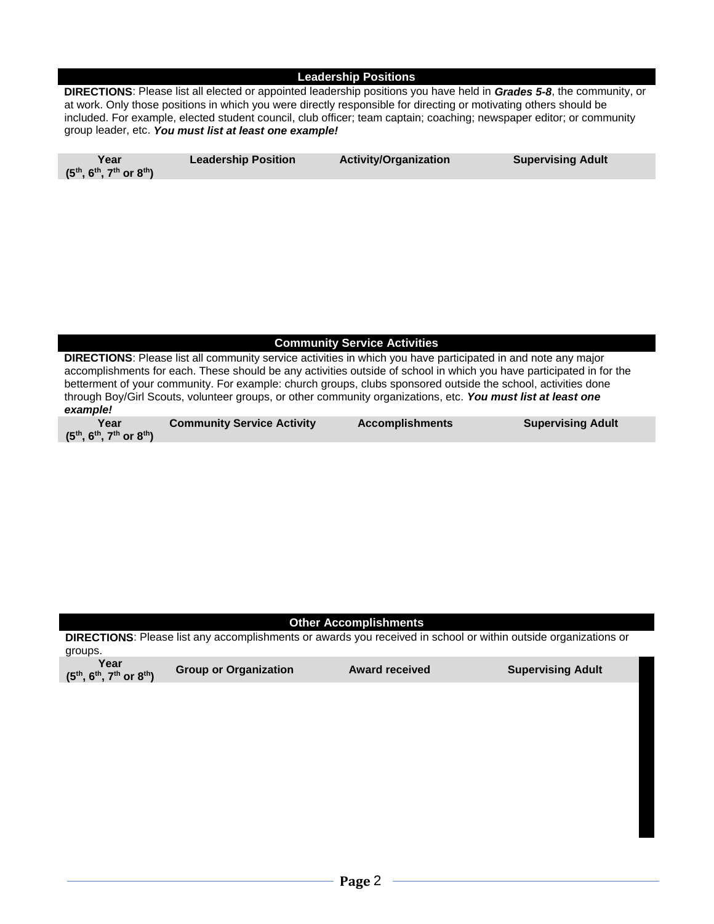#### **Leadership Positions**

**DIRECTIONS**: Please list all elected or appointed leadership positions you have held in *Grades 5-8*, the community, or at work. Only those positions in which you were directly responsible for directing or motivating others should be included. For example, elected student council, club officer; team captain; coaching; newspaper editor; or community group leader, etc. *You must list at least one example!*

| Year<br>$(5^{th}, 6^{th}, 7^{th}$ or $8^{th})$ | <b>Leadership Position</b> | <b>Activity/Organization</b> | <b>Supervising Adult</b> |
|------------------------------------------------|----------------------------|------------------------------|--------------------------|
|                                                |                            |                              |                          |

### **Community Service Activities**

**DIRECTIONS**: Please list all community service activities in which you have participated in and note any major accomplishments for each. These should be any activities outside of school in which you have participated in for the betterment of your community. For example: church groups, clubs sponsored outside the school, activities done through Boy/Girl Scouts, volunteer groups, or other community organizations, etc. *You must list at least one example!*

| Year                                          | <b>Community Service Activity</b> | <b>Accomplishments</b> | <b>Supervising Adult</b> |
|-----------------------------------------------|-----------------------------------|------------------------|--------------------------|
| $(5^{th}, 6^{th}, 7^{th} \text{ or } 8^{th})$ |                                   |                        |                          |

#### **Other Accomplishments**

**DIRECTIONS**: Please list any accomplishments or awards you received in school or within outside organizations or groups. **Year (5th, 6th, 7th or 8th) Group or Organization Award received Supervising Adult**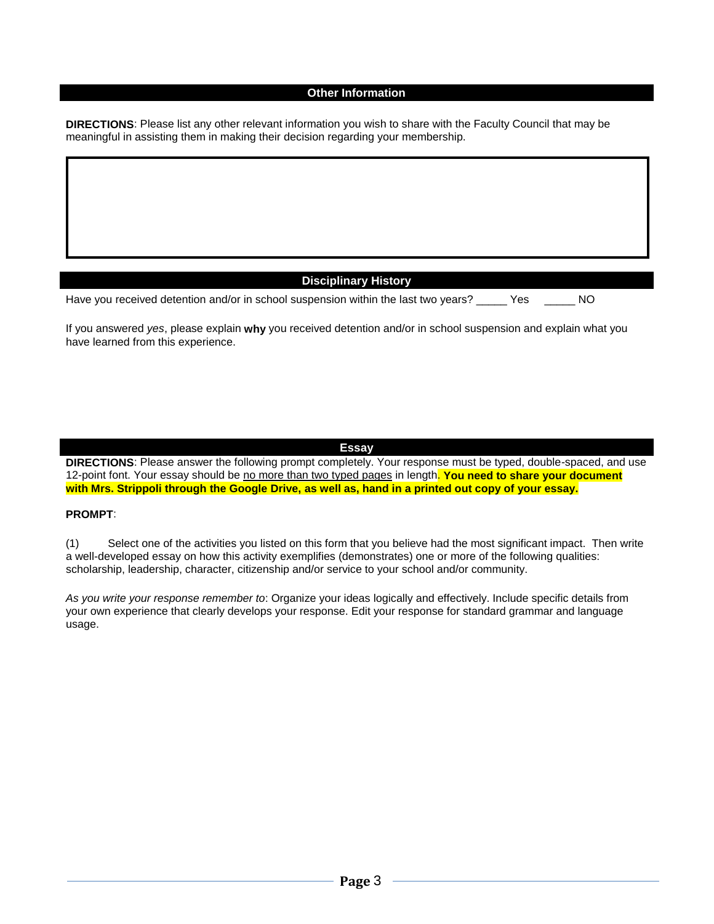#### **Other Information**

**DIRECTIONS**: Please list any other relevant information you wish to share with the Faculty Council that may be meaningful in assisting them in making their decision regarding your membership.

### **Disciplinary History**

| Have you received detention and/or in school suspension within the last two years?<br>NO 1<br>Yes |
|---------------------------------------------------------------------------------------------------|
|---------------------------------------------------------------------------------------------------|

If you answered *yes*, please explain **why** you received detention and/or in school suspension and explain what you have learned from this experience.

#### **Essay**

**DIRECTIONS**: Please answer the following prompt completely. Your response must be typed, double-spaced, and use 12-point font. Your essay should be no more than two typed pages in length. **You need to share your document with Mrs. Strippoli through the Google Drive, as well as, hand in a printed out copy of your essay.**

#### **PROMPT**:

(1) Select one of the activities you listed on this form that you believe had the most significant impact. Then write a well-developed essay on how this activity exemplifies (demonstrates) one or more of the following qualities: scholarship, leadership, character, citizenship and/or service to your school and/or community.

*As you write your response remember to*: Organize your ideas logically and effectively. Include specific details from your own experience that clearly develops your response. Edit your response for standard grammar and language usage.